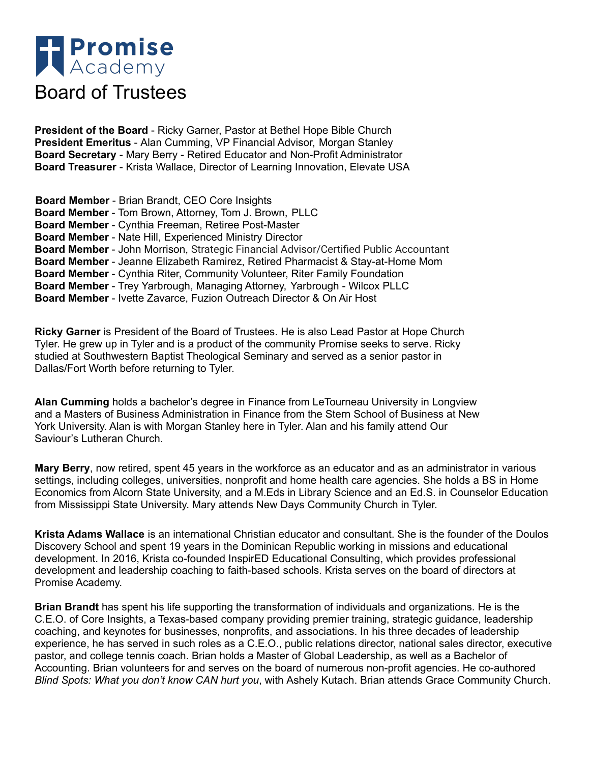

**President of the Board** - Ricky Garner, Pastor at Bethel Hope Bible Church **President Emeritus** - Alan Cumming, VP Financial Advisor, Morgan Stanley **Board Secretary** - Mary Berry - Retired Educator and Non-Profit Administrator **Board Treasurer** - Krista Wallace, Director of Learning Innovation, Elevate USA

**Board Member** - Brian Brandt, CEO Core Insights **Board Member** - Tom Brown, Attorney, Tom J. Brown, PLLC **Board Member** - Cynthia Freeman, Retiree Post-Master **Board Member** - Nate Hill, Experienced Ministry Director **Board Member** - John Morrison, Strategic Financial Advisor/Certified Public Accountant **Board Member** - Jeanne Elizabeth Ramirez, Retired Pharmacist & Stay-at-Home Mom **Board Member** - Cynthia Riter, Community Volunteer, Riter Family Foundation **Board Member** - Trey Yarbrough, Managing Attorney, Yarbrough - Wilcox PLLC **Board Member** - Ivette Zavarce, Fuzion Outreach Director & On Air Host

**Ricky Garner** is President of the Board of Trustees. He is also Lead Pastor at Hope Church Tyler. He grew up in Tyler and is a product of the community Promise seeks to serve. Ricky studied at Southwestern Baptist Theological Seminary and served as a senior pastor in Dallas/Fort Worth before returning to Tyler.

**Alan Cumming** holds a bachelor's degree in Finance from LeTourneau University in Longview and a Masters of Business Administration in Finance from the Stern School of Business at New York University. Alan is with Morgan Stanley here in Tyler. Alan and his family attend Our Saviour's Lutheran Church.

**Mary Berry**, now retired, spent 45 years in the workforce as an educator and as an administrator in various settings, including colleges, universities, nonprofit and home health care agencies. She holds a BS in Home Economics from Alcorn State University, and a M.Eds in Library Science and an Ed.S. in Counselor Education from Mississippi State University. Mary attends New Days Community Church in Tyler.

**Krista Adams Wallace** is an international Christian educator and consultant. She is the founder of the Doulos Discovery School and spent 19 years in the Dominican Republic working in missions and educational development. In 2016, Krista co-founded InspirED Educational Consulting, which provides professional development and leadership coaching to faith-based schools. Krista serves on the board of directors at Promise Academy.

**Brian Brandt** has spent his life supporting the transformation of individuals and organizations. He is the C.E.O. of Core Insights, a Texas-based company providing premier training, strategic guidance, leadership coaching, and keynotes for businesses, nonprofits, and associations. In his three decades of leadership experience, he has served in such roles as a C.E.O., public relations director, national sales director, executive pastor, and college tennis coach. Brian holds a Master of Global Leadership, as well as a Bachelor of Accounting. Brian volunteers for and serves on the board of numerous non-profit agencies. He co-authored *Blind Spots: What you don't know CAN hurt you*, with Ashely Kutach. Brian attends Grace Community Church.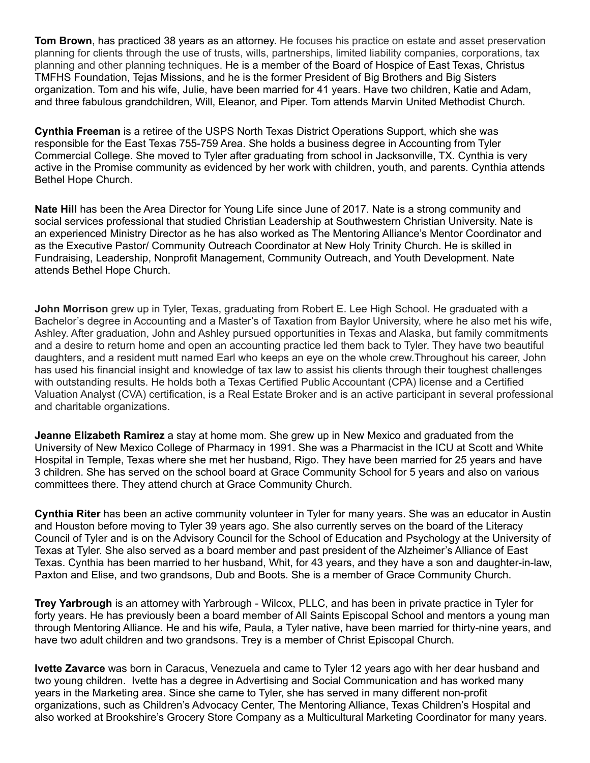**Tom Brown**, has practiced 38 years as an attorney. He focuses his practice on estate and asset preservation planning for clients through the use of trusts, wills, partnerships, limited liability companies, corporations, tax planning and other planning techniques. He is a member of the Board of Hospice of East Texas, Christus TMFHS Foundation, Tejas Missions, and he is the former President of Big Brothers and Big Sisters organization. Tom and his wife, Julie, have been married for 41 years. Have two children, Katie and Adam, and three fabulous grandchildren, Will, Eleanor, and Piper. Tom attends Marvin United Methodist Church.

**Cynthia Freeman** is a retiree of the USPS North Texas District Operations Support, which she was responsible for the East Texas 755-759 Area. She holds a business degree in Accounting from Tyler Commercial College. She moved to Tyler after graduating from school in Jacksonville, TX. Cynthia is very active in the Promise community as evidenced by her work with children, youth, and parents. Cynthia attends Bethel Hope Church.

**Nate Hill** has been the Area Director for Young Life since June of 2017. Nate is a strong community and social services professional that studied Christian Leadership at Southwestern Christian University. Nate is an experienced Ministry Director as he has also worked as The Mentoring Alliance's Mentor Coordinator and as the Executive Pastor/ Community Outreach Coordinator at New Holy Trinity Church. He is skilled in Fundraising, Leadership, Nonprofit Management, Community Outreach, and Youth Development. Nate attends Bethel Hope Church.

**John Morrison** grew up in Tyler, Texas, graduating from Robert E. Lee High School. He graduated with a Bachelor's degree in Accounting and a Master's of Taxation from Baylor University, where he also met his wife, Ashley. After graduation, John and Ashley pursued opportunities in Texas and Alaska, but family commitments and a desire to return home and open an accounting practice led them back to Tyler. They have two beautiful daughters, and a resident mutt named Earl who keeps an eye on the whole crew.Throughout his career, John has used his financial insight and knowledge of tax law to assist his clients through their toughest challenges with outstanding results. He holds both a Texas Certified Public Accountant (CPA) license and a Certified Valuation Analyst (CVA) certification, is a Real Estate Broker and is an active participant in several professional and charitable organizations.

**Jeanne Elizabeth Ramirez** a stay at home mom. She grew up in New Mexico and graduated from the University of New Mexico College of Pharmacy in 1991. She was a Pharmacist in the ICU at Scott and White Hospital in Temple, Texas where she met her husband, Rigo. They have been married for 25 years and have 3 children. She has served on the school board at Grace Community School for 5 years and also on various committees there. They attend church at Grace Community Church.

**Cynthia Riter** has been an active community volunteer in Tyler for many years. She was an educator in Austin and Houston before moving to Tyler 39 years ago. She also currently serves on the board of the Literacy Council of Tyler and is on the Advisory Council for the School of Education and Psychology at the University of Texas at Tyler. She also served as a board member and past president of the Alzheimer's Alliance of East Texas. Cynthia has been married to her husband, Whit, for 43 years, and they have a son and daughter-in-law, Paxton and Elise, and two grandsons, Dub and Boots. She is a member of Grace Community Church.

**Trey Yarbrough** is an attorney with Yarbrough - Wilcox, PLLC, and has been in private practice in Tyler for forty years. He has previously been a board member of All Saints Episcopal School and mentors a young man through Mentoring Alliance. He and his wife, Paula, a Tyler native, have been married for thirty-nine years, and have two adult children and two grandsons. Trey is a member of Christ Episcopal Church.

**Ivette Zavarce** was born in Caracus, Venezuela and came to Tyler 12 years ago with her dear husband and two young children. Ivette has a degree in Advertising and Social Communication and has worked many years in the Marketing area. Since she came to Tyler, she has served in many different non-profit organizations, such as Children's Advocacy Center, The Mentoring Alliance, Texas Children's Hospital and also worked at Brookshire's Grocery Store Company as a Multicultural Marketing Coordinator for many years.